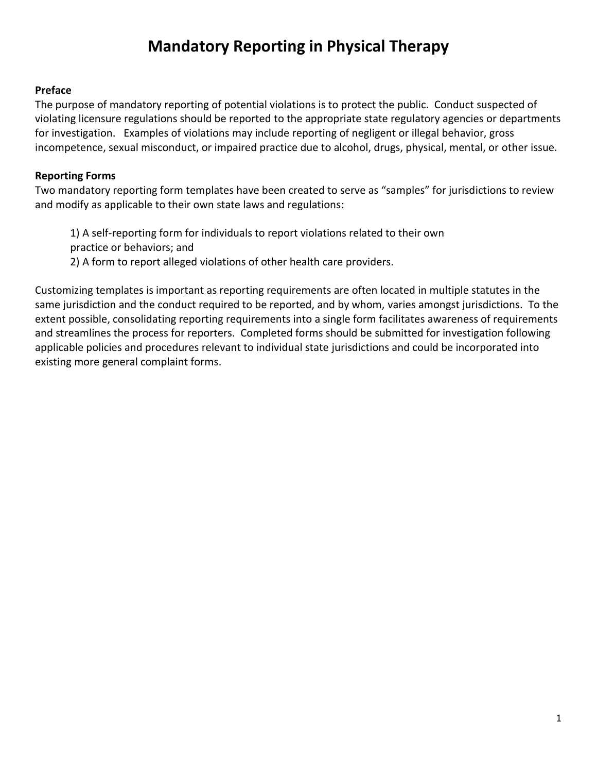## **Mandatory Reporting in Physical Therapy**

## **Preface**

The purpose of mandatory reporting of potential violations is to protect the public. Conduct suspected of violating licensure regulations should be reported to the appropriate state regulatory agencies or departments for investigation. Examples of violations may include reporting of negligent or illegal behavior, gross incompetence, sexual misconduct, or impaired practice due to alcohol, drugs, physical, mental, or other issue.

## **Reporting Forms**

Two mandatory reporting form templates have been created to serve as "samples" for jurisdictions to review and modify as applicable to their own state laws and regulations:

- 1) A self-reporting form for individuals to report violations related to their own practice or behaviors; and
- 2) A form to report alleged violations of other health care providers.

Customizing templates is important as reporting requirements are often located in multiple statutes in the same jurisdiction and the conduct required to be reported, and by whom, varies amongst jurisdictions. To the extent possible, consolidating reporting requirements into a single form facilitates awareness of requirements and streamlines the process for reporters. Completed forms should be submitted for investigation following applicable policies and procedures relevant to individual state jurisdictions and could be incorporated into existing more general complaint forms.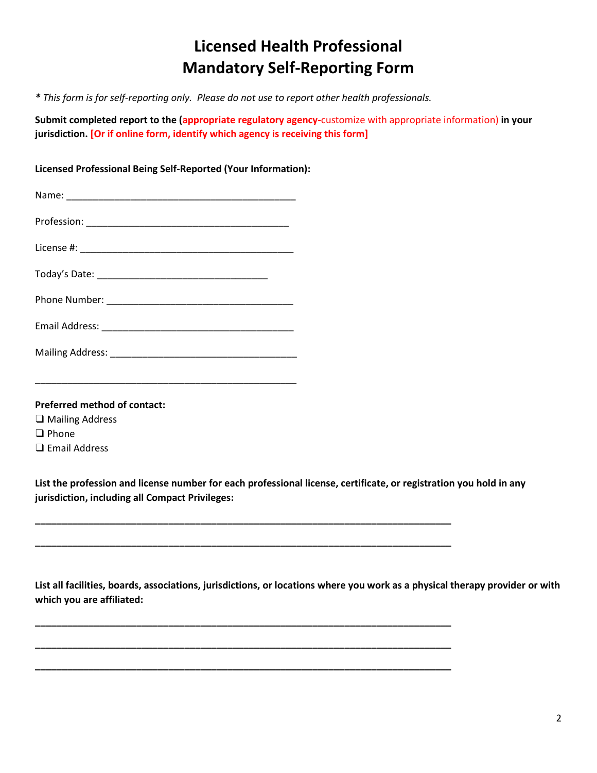# **Licensed Health Professional Mandatory Self-Reporting Form**

*\* This form is for self-reporting only. Please do not use to report other health professionals.*

**Submit completed report to the (appropriate regulatory agency-**customize with appropriate information) **in your jurisdiction. [Or if online form, identify which agency is receiving this form]**

**Licensed Professional Being Self-Reported (Your Information):**

| <b>Preferred method of contact:</b> |
|-------------------------------------|
| $\Box$ Mailing Address              |
| $\Box$ Phone                        |
| $\Box$ Email Address                |
|                                     |

**List the profession and license number for each professional license, certificate, or registration you hold in any jurisdiction, including all Compact Privileges:** 

**\_\_\_\_\_\_\_\_\_\_\_\_\_\_\_\_\_\_\_\_\_\_\_\_\_\_\_\_\_\_\_\_\_\_\_\_\_\_\_\_\_\_\_\_\_\_\_\_\_\_\_\_\_\_\_\_\_\_\_\_\_\_\_\_\_\_\_\_\_\_\_\_\_\_\_\_\_\_**

**\_\_\_\_\_\_\_\_\_\_\_\_\_\_\_\_\_\_\_\_\_\_\_\_\_\_\_\_\_\_\_\_\_\_\_\_\_\_\_\_\_\_\_\_\_\_\_\_\_\_\_\_\_\_\_\_\_\_\_\_\_\_\_\_\_\_\_\_\_\_\_\_\_\_\_\_\_\_**

**\_\_\_\_\_\_\_\_\_\_\_\_\_\_\_\_\_\_\_\_\_\_\_\_\_\_\_\_\_\_\_\_\_\_\_\_\_\_\_\_\_\_\_\_\_\_\_\_\_\_\_\_\_\_\_\_\_\_\_\_\_\_\_\_\_\_\_\_\_\_\_\_\_\_\_\_\_\_**

**\_\_\_\_\_\_\_\_\_\_\_\_\_\_\_\_\_\_\_\_\_\_\_\_\_\_\_\_\_\_\_\_\_\_\_\_\_\_\_\_\_\_\_\_\_\_\_\_\_\_\_\_\_\_\_\_\_\_\_\_\_\_\_\_\_\_\_\_\_\_\_\_\_\_\_\_\_\_**

**\_\_\_\_\_\_\_\_\_\_\_\_\_\_\_\_\_\_\_\_\_\_\_\_\_\_\_\_\_\_\_\_\_\_\_\_\_\_\_\_\_\_\_\_\_\_\_\_\_\_\_\_\_\_\_\_\_\_\_\_\_\_\_\_\_\_\_\_\_\_\_\_\_\_\_\_\_\_**

**List all facilities, boards, associations, jurisdictions, or locations where you work as a physical therapy provider or with which you are affiliated:**